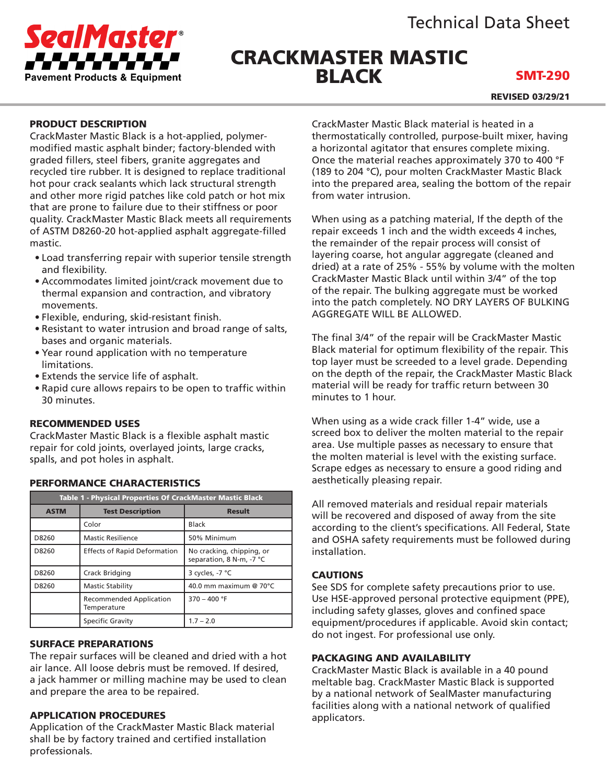

# CRACKMASTER MASTIC BLACK

SMT-290

REVISED 03/29/21

# PRODUCT DESCRIPTION

CrackMaster Mastic Black is a hot-applied, polymermodified mastic asphalt binder; factory-blended with graded fillers, steel fibers, granite aggregates and recycled tire rubber. It is designed to replace traditional hot pour crack sealants which lack structural strength and other more rigid patches like cold patch or hot mix that are prone to failure due to their stiffness or poor quality. CrackMaster Mastic Black meets all requirements of ASTM D8260-20 hot-applied asphalt aggregate-filled mastic.

- Load transferring repair with superior tensile strength and flexibility.
- Accommodates limited joint/crack movement due to thermal expansion and contraction, and vibratory movements.
- Flexible, enduring, skid-resistant finish.
- Resistant to water intrusion and broad range of salts, bases and organic materials.
- Year round application with no temperature limitations.
- Extends the service life of asphalt.
- Rapid cure allows repairs to be open to traffic within 30 minutes.

# RECOMMENDED USES

CrackMaster Mastic Black is a flexible asphalt mastic repair for cold joints, overlayed joints, large cracks, spalls, and pot holes in asphalt.

| Table 1 - Physical Properties Of CrackMaster Mastic Black |                                               |                                                       |
|-----------------------------------------------------------|-----------------------------------------------|-------------------------------------------------------|
| <b>ASTM</b>                                               | <b>Test Description</b>                       | <b>Result</b>                                         |
|                                                           | Color                                         | <b>Black</b>                                          |
| D8260                                                     | <b>Mastic Resilience</b>                      | 50% Minimum                                           |
| D8260                                                     | <b>Effects of Rapid Deformation</b>           | No cracking, chipping, or<br>separation, 8 N-m, -7 °C |
| D8260                                                     | Crack Bridging                                | 3 cycles, -7 °C                                       |
| D8260                                                     | <b>Mastic Stability</b>                       | 40.0 mm maximum @ 70°C                                |
|                                                           | <b>Recommended Application</b><br>Temperature | $370 - 400$ °F                                        |
|                                                           | Specific Gravity                              | $1.7 - 2.0$                                           |

# PERFORMANCE CHARACTERISTICS

#### SURFACE PREPARATIONS

The repair surfaces will be cleaned and dried with a hot air lance. All loose debris must be removed. If desired, a jack hammer or milling machine may be used to clean and prepare the area to be repaired.

#### APPLICATION PROCEDURES

Application of the CrackMaster Mastic Black material shall be by factory trained and certified installation professionals.

CrackMaster Mastic Black material is heated in a thermostatically controlled, purpose-built mixer, having a horizontal agitator that ensures complete mixing. Once the material reaches approximately 370 to 400 °F (189 to 204 °C), pour molten CrackMaster Mastic Black into the prepared area, sealing the bottom of the repair from water intrusion.

When using as a patching material, If the depth of the repair exceeds 1 inch and the width exceeds 4 inches, the remainder of the repair process will consist of layering coarse, hot angular aggregate (cleaned and dried) at a rate of 25% - 55% by volume with the molten CrackMaster Mastic Black until within 3/4" of the top of the repair. The bulking aggregate must be worked into the patch completely. NO DRY LAYERS OF BULKING AGGREGATE WILL BE ALLOWED.

The final 3/4" of the repair will be CrackMaster Mastic Black material for optimum flexibility of the repair. This top layer must be screeded to a level grade. Depending on the depth of the repair, the CrackMaster Mastic Black material will be ready for traffic return between 30 minutes to 1 hour.

When using as a wide crack filler 1-4" wide, use a screed box to deliver the molten material to the repair area. Use multiple passes as necessary to ensure that the molten material is level with the existing surface. Scrape edges as necessary to ensure a good riding and aesthetically pleasing repair.

All removed materials and residual repair materials will be recovered and disposed of away from the site according to the client's specifications. All Federal, State and OSHA safety requirements must be followed during installation.

#### CAUTIONS

See SDS for complete safety precautions prior to use. Use HSE-approved personal protective equipment (PPE), including safety glasses, gloves and confined space equipment/procedures if applicable. Avoid skin contact; do not ingest. For professional use only.

#### PACKAGING AND AVAILABILITY

CrackMaster Mastic Black is available in a 40 pound meltable bag. CrackMaster Mastic Black is supported by a national network of SealMaster manufacturing facilities along with a national network of qualified applicators.